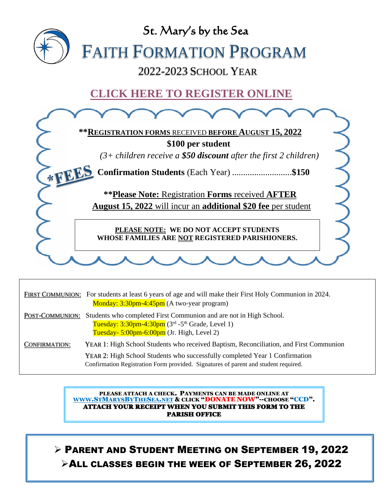

|                      | FIRST COMMUNION: For students at least 6 years of age and will make their First Holy Communion in 2024.<br>Monday: 3:30pm-4:45pm (A two-year program)                                                    |
|----------------------|----------------------------------------------------------------------------------------------------------------------------------------------------------------------------------------------------------|
| POST-COMMUNION:      | Students who completed First Communion and are not in High School.<br>Tuesday: $3:30$ pm-4:30pm ( $3rd$ -5 <sup>th</sup> Grade, Level 1)<br>Tuesday- $5:00 \text{pm-}6:00 \text{pm}$ (Jr. High, Level 2) |
| <b>CONFIRMATION:</b> | YEAR 1: High School Students who received Baptism, Reconciliation, and First Communion                                                                                                                   |
|                      | YEAR 2: High School Students who successfully completed Year 1 Confirmation<br>Confirmation Registration Form provided. Signatures of parent and student required.                                       |

PLEASE ATTACH A CHECK. PAYMENTS CAN BE MADE ONLINE AT [WWW](http://www.stmarysbythesea.net/).STMARYSBYTHESEA.NET & CLICK "DONATE NOW"--CHOOSE "CCD". ATTACH YOUR RECEIPT WHEN YOU SUBMIT THIS FORM TO THE PARISH OFFICE

➢ PARENT AND STUDENT MEETING ON SEPTEMBER 19, 2022 ➢ALL CLASSES BEGIN THE WEEK OF SEPTEMBER 26, 2022